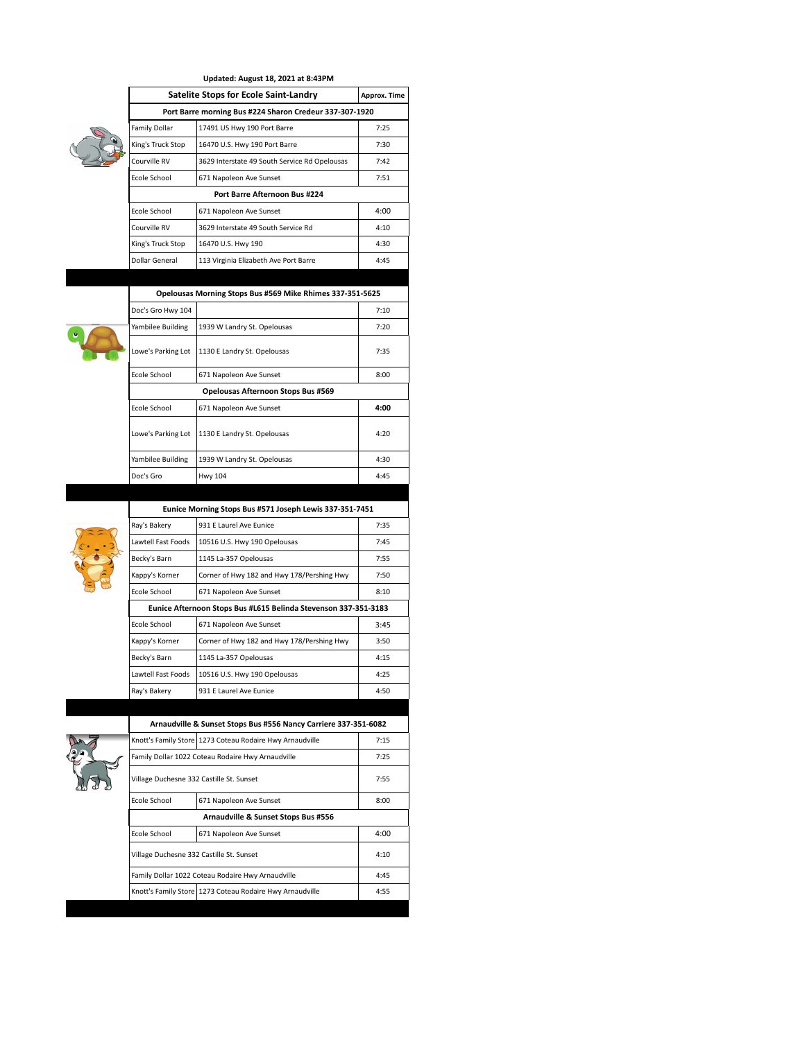| Updated: August 18, 2021 at 8:43PM                      |                                               |              |  |
|---------------------------------------------------------|-----------------------------------------------|--------------|--|
|                                                         | Satelite Stops for Ecole Saint-Landry         | Approx. Time |  |
| Port Barre morning Bus #224 Sharon Credeur 337-307-1920 |                                               |              |  |
| Family Dollar                                           | 17491 US Hwy 190 Port Barre                   | 7:25         |  |
| King's Truck Stop                                       | 16470 U.S. Hwy 190 Port Barre                 | 7:30         |  |
| Courville RV                                            | 3629 Interstate 49 South Service Rd Opelousas | 7:42         |  |
| Ecole School                                            | 671 Napoleon Ave Sunset                       | 7:51         |  |
|                                                         |                                               |              |  |
| <b>Fcole School</b>                                     | 671 Napoleon Ave Sunset                       | 4:00         |  |
| Courville RV                                            | 3629 Interstate 49 South Service Rd           | 4:10         |  |
| King's Truck Stop                                       | 16470 U.S. Hwy 190                            | 4:30         |  |
| Dollar General                                          | 113 Virginia Elizabeth Ave Port Barre         | 4:45         |  |



| Opelousas Morning Stops Bus #569 Mike Rhimes 337-351-5625 |                                    |      |  |  |
|-----------------------------------------------------------|------------------------------------|------|--|--|
| Doc's Gro Hwy 104                                         |                                    | 7:10 |  |  |
| Yambilee Building                                         | 1939 W Landry St. Opelousas        | 7:20 |  |  |
| 1130 E Landry St. Opelousas<br>Lowe's Parking Lot         |                                    | 7:35 |  |  |
| Ecole School                                              | 671 Napoleon Ave Sunset            | 8:00 |  |  |
|                                                           | Opelousas Afternoon Stops Bus #569 |      |  |  |
| <b>Fcole School</b>                                       | 671 Napoleon Ave Sunset            | 4:00 |  |  |
| Lowe's Parking Lot                                        | 1130 E Landry St. Opelousas        | 4:20 |  |  |
| Yambilee Building                                         | 1939 W Landry St. Opelousas        | 4:30 |  |  |
| Doc's Gro                                                 | <b>Hwy 104</b>                     | 4:45 |  |  |



| Eunice Morning Stops Bus #571 Joseph Lewis 337-351-7451         |                                            |      |  |
|-----------------------------------------------------------------|--------------------------------------------|------|--|
| Ray's Bakery                                                    | 931 F Laurel Ave Funice                    | 7:35 |  |
| Lawtell Fast Foods                                              | 10516 U.S. Hwy 190 Opelousas               | 7:45 |  |
| Becky's Barn                                                    | 1145 La-357 Opelousas                      | 7:55 |  |
| Kappy's Korner                                                  | Corner of Hwy 182 and Hwy 178/Pershing Hwy | 7:50 |  |
| Ecole School                                                    | 671 Napoleon Ave Sunset                    | 8:10 |  |
| Eunice Afternoon Stops Bus #L615 Belinda Stevenson 337-351-3183 |                                            |      |  |
| Ecole School                                                    | 671 Napoleon Ave Sunset                    | 3:45 |  |
| Kappy's Korner                                                  | Corner of Hwy 182 and Hwy 178/Pershing Hwy | 3:50 |  |
| Becky's Barn                                                    | 1145 La-357 Opelousas                      | 4:15 |  |
| Lawtell Fast Foods                                              | 10516 U.S. Hwy 190 Opelousas               | 4:25 |  |
| Ray's Bakery                                                    | 931 E Laurel Ave Eunice                    | 4:50 |  |



| Arnaudville & Sunset Stops Bus #556 Nancy Carriere 337-351-6082 |                                                            |      |  |  |
|-----------------------------------------------------------------|------------------------------------------------------------|------|--|--|
| Knott's Family Store 1273 Coteau Rodaire Hwy Arnaudville        | 7:15                                                       |      |  |  |
| Family Dollar 1022 Coteau Rodaire Hwy Arnaudville               | 7:25                                                       |      |  |  |
| Village Duchesne 332 Castille St. Sunset                        | 7:55                                                       |      |  |  |
| Ecole School                                                    | 671 Napoleon Ave Sunset                                    | 8:00 |  |  |
| Arnaudville & Sunset Stops Bus #556                             |                                                            |      |  |  |
| Ecole School                                                    | 671 Napoleon Ave Sunset                                    | 4:00 |  |  |
| Village Duchesne 332 Castille St. Sunset                        | 4:10                                                       |      |  |  |
| Family Dollar 1022 Coteau Rodaire Hwy Arnaudville               | 4:45                                                       |      |  |  |
|                                                                 | Knott's Family Store   1273 Coteau Rodaire Hwy Arnaudville | 4:55 |  |  |
|                                                                 |                                                            |      |  |  |